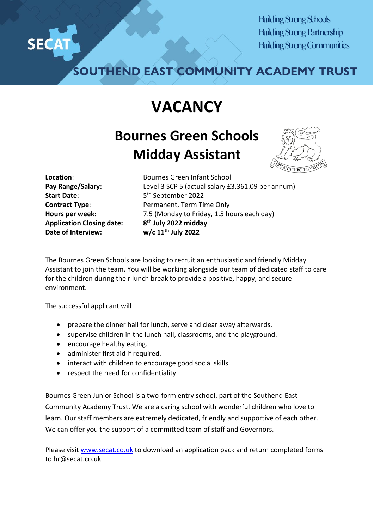

Building Strong Schools Building Strong Partnership Building Strong Communities

**SOUTHEND EAST COMMUNITY ACADEMY TRUST**

## **VACANCY**

## **Bournes Green Schools Midday Assistant**



**Start Date:** 5<sup>th</sup> September 2022 **Application Closing date: 8th July 2022 midday Date of Interview: w/c 11th July 2022**

**Location**: Bournes Green Infant School **Pay Range/Salary:** Level 3 SCP 5 (actual salary £3,361.09 per annum) **Contract Type:** Permanent, Term Time Only **Hours per week:** 7.5 (Monday to Friday, 1.5 hours each day)

The Bournes Green Schools are looking to recruit an enthusiastic and friendly Midday Assistant to join the team. You will be working alongside our team of dedicated staff to care for the children during their lunch break to provide a positive, happy, and secure environment.

The successful applicant will

- prepare the dinner hall for lunch, serve and clear away afterwards.
- supervise children in the lunch hall, classrooms, and the playground.
- encourage healthy eating.
- administer first aid if required.
- interact with children to encourage good social skills.
- respect the need for confidentiality.

Bournes Green Junior School is a two-form entry school, part of the Southend East Community Academy Trust. We are a caring school with wonderful children who love to learn. Our staff members are extremely dedicated, friendly and supportive of each other. We can offer you the support of a committed team of staff and Governors.

Please visit [www.secat.co.uk](http://www.secat.co.uk/) to download an application pack and return completed forms to hr@secat.co.uk